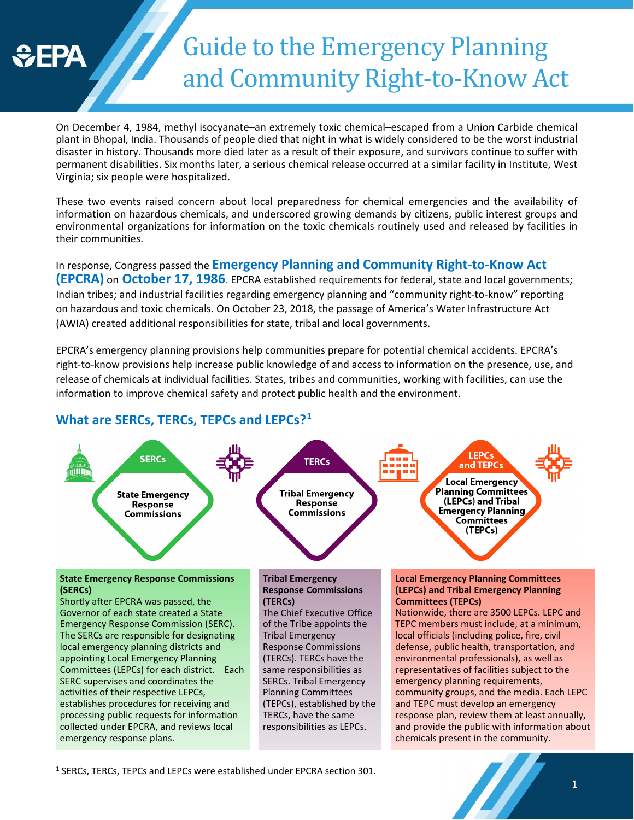

# Guide to the Emergency Planning and Community Right-to-Know Act

On December 4, 1984, methyl isocyanate–an extremely toxic chemical–escaped from a Union Carbide chemical plant in Bhopal, India. Thousands of people died that night in what is widely considered to be the worst industrial disaster in history. Thousands more died later as a result of their exposure, and survivors continue to suffer with permanent disabilities. Six months later, a serious chemical release occurred at a similar facility in Institute, West Virginia; six people were hospitalized.

These two events raised concern about local preparedness for chemical emergencies and the availability of information on hazardous chemicals, and underscored growing demands by citizens, public interest groups and environmental organizations for information on the toxic chemicals routinely used and released by facilities in their communities.

In response, Congress passed the **Emergency Planning and Community Right-to-Know Act (EPCRA)** on **October 17, 1986**. EPCRA established requirements for federal, state and local governments; Indian tribes; and industrial facilities regarding emergency planning and "community right-to-know" reporting on hazardous and toxic chemicals. On October 23, 2018, the passage of America's Water Infrastructure Act (AWIA) created additional responsibilities for state, tribal and local governments.

EPCRA's emergency planning provisions help communities prepare for potential chemical accidents. EPCRA's right-to-know provisions help increase public knowledge of and access to information on the presence, use, and release of chemicals at individual facilities. States, tribes and communities, working with facilities, can use the information to improve chemical safety and protect public health and the environment.

#### **I FPC SERCs TERCs** and TEPCs Local Emergency **In the Integral of the Integral on the Community of Community Community Response**<br>Response **Containers, Community Community Response Emergency Planning Commissions about chemical commissions Committees** (TEPCs) **State Emergency Response Commissions Tribal Emergency Local Emergency Planning Committees (SERCs) Response Commissions (LEPCs) and Tribal Emergency Planning**  Shortly after EPCRA was passed, the **(TERCs) Committees (TEPCs)** The Chief Executive Office Nationwide, there are 3500 LEPCs. LEPC and Governor of each state created a State Emergency Response Commission (SERC). of the Tribe appoints the TEPC members must include, at a minimum, The SERCs are responsible for designating Tribal Emergency local officials (including police, fire, civil local emergency planning districts and Response Commissions defense, public health, transportation, and appointing Local Emergency Planning (TERCs). TERCs have the environmental professionals), as well as Committees (LEPCs) for each district. Each same responsibilities as representatives of facilities subject to the SERC supervises and coordinates the emergency planning requirements, SERCs. Tribal Emergency activities of their respective LEPCs, Planning Committees community groups, and the media. Each LEPC establishes procedures for receiving and (TEPCs), established by the and TEPC must develop an emergency processing public requests for information TERCs, have the same response plan, review them at least annually, collected under EPCRA, and reviews local responsibilities as LEPCs. and provide the public with information about emergency response plans. chemicals present in the community.

#### **What are SERCs, TERCs, TEPCs and LEPCs?[1](#page-0-0)**

<span id="page-0-0"></span><sup>&</sup>lt;sup>1</sup> SERCs, TERCs, TEPCs and LEPCs were established under EPCRA section 301.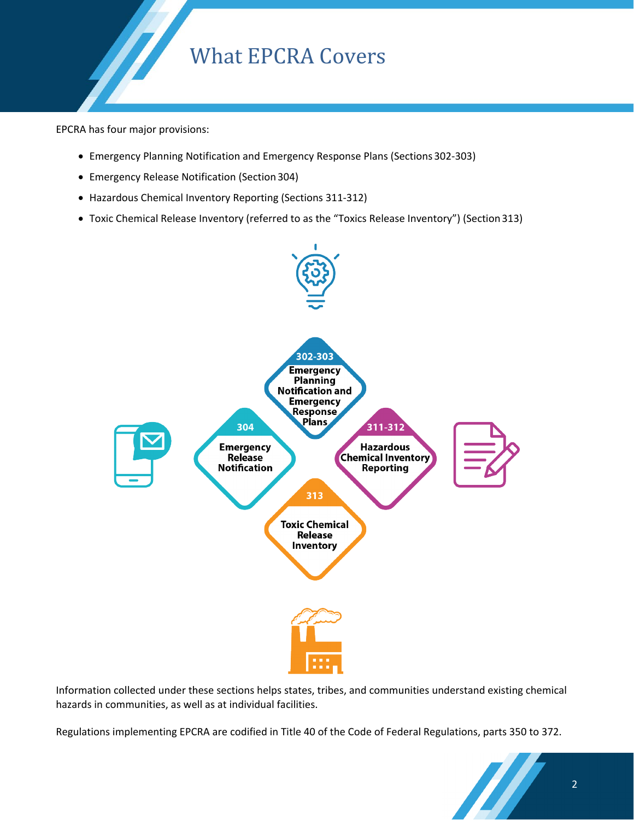# What EPCRA Covers

EPCRA has four major provisions:

- Emergency Planning Notification and Emergency Response Plans (Sections 302-303)
- Emergency Release Notification (Section 304)
- Hazardous Chemical Inventory Reporting (Sections 311-312)
- Toxic Chemical Release Inventory (referred to as the "Toxics Release Inventory") (Section 313)



Information collected under these sections helps states, tribes, and communities understand existing chemical hazards in communities, as well as at individual facilities.

Regulations implementing EPCRA are codified in Title 40 of the Code of Federal Regulations, parts 350 to 372.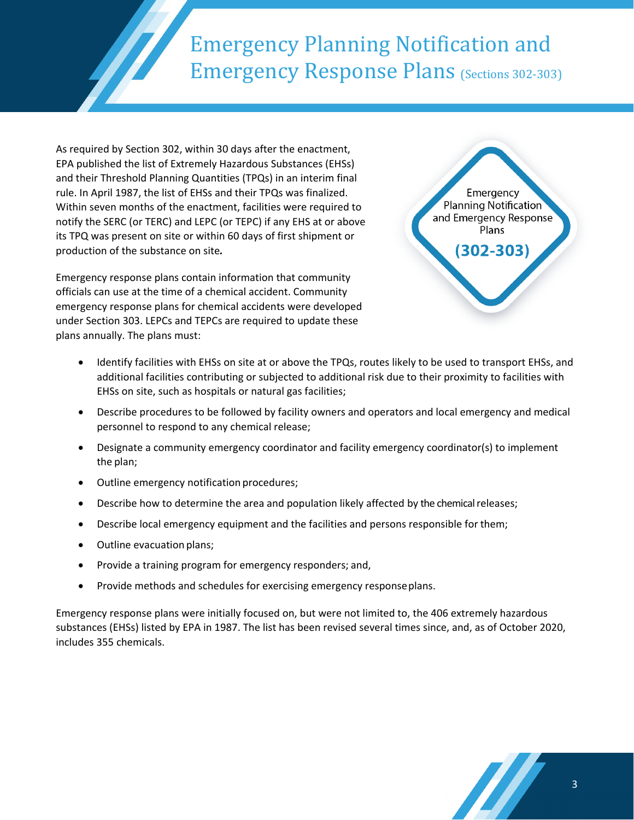# Emergency Planning Notification and Emergency Response Plans (Sections 302-303)

As required by Section 302, within 30 days after the enactment, EPA published the list of Extremely Hazardous Substances (EHSs) and their Threshold Planning Quantities (TPQs) in an interim final rule. In April 1987, the list of EHSs and their TPQs was finalized. Within seven months of the enactment, facilities were required to notify the SERC (or TERC) and LEPC (or TEPC) if any EHS at or above its TPQ was present on site or within 60 days of first shipment or production of the substance on site*.*

Emergency response plans contain information that community officials can use at the time of a chemical accident. Community emergency response plans for chemical accidents were developed under Section 303. LEPCs and TEPCs are required to update these plans annually. The plans must:



- Identify facilities with EHSs on site at or above the TPQs, routes likely to be used to transport EHSs, and additional facilities contributing or subjected to additional risk due to their proximity to facilities with EHSs on site, such as hospitals or natural gas facilities;
- Describe procedures to be followed by facility owners and operators and local emergency and medical personnel to respond to any chemical release;
- Designate a community emergency coordinator and facility emergency coordinator(s) to implement the plan;
- Outline emergency notification procedures;
- Describe how to determine the area and population likely affected by the chemical releases;
- Describe local emergency equipment and the facilities and persons responsible for them;
- Outline evacuation plans;
- Provide a training program for emergency responders; and,
- Provide methods and schedules for exercising emergency responseplans.

Emergency response plans were initially focused on, but were not limited to, the 406 extremely hazardous substances (EHSs) listed by EPA in 1987. The list has been revised several times since, and, as of October 2020, includes 355 chemicals.

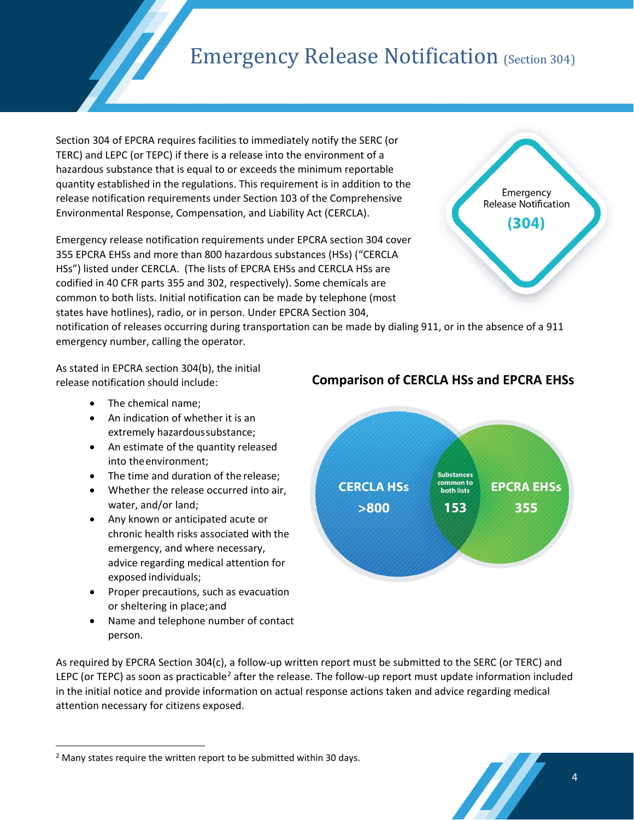# **Emergency Release Notification (Section 304)**

Section 304 of EPCRA requires facilities to immediately notify the SERC (or TERC) and LEPC (or TEPC) if there is a release into the environment of a hazardous substance that is equal to or exceeds the minimum reportable quantity established in the regulations. This requirement is in addition to the release notification requirements under Section 103 of the Comprehensive Environmental Response, Compensation, and Liability Act (CERCLA).

Emergency release notification requirements under EPCRA section 304 cover 355 EPCRA EHSs and more than 800 hazardous substances (HSs) ("CERCLA HSs") listed under CERCLA. (The lists of EPCRA EHSs and CERCLA HSs are codified in 40 CFR parts 355 and 302, respectively). Some chemicals are common to both lists. Initial notification can be made by telephone (most states have hotlines), radio, or in person. Under EPCRA Section 304,

Emergency Release Notification (304)

notification of releases occurring during transportation can be made by dialing 911, or in the absence of a 911 emergency number, calling the operator.

As stated in EPCRA section 304(b), the initial release notification should include:

- The chemical name;
- An indication of whether it is an extremely hazardoussubstance;
- An estimate of the quantity released into theenvironment;
- The time and duration of the release;
- Whether the release occurred into air, water, and/or land;
- Any known or anticipated acute or chronic health risks associated with the emergency, and where necessary, advice regarding medical attention for exposed individuals;
- Proper precautions, such as evacuation or sheltering in place;and
- Name and telephone number of contact person.



#### **Comparison of CERCLA HSs and EPCRA EHSs**

As required by EPCRA Section 304(c), a follow-up written report must be submitted to the SERC (or TERC) and LEPC (or TEPC) as soon as practicable<sup>[2](#page-3-0)</sup> after the release. The follow-up report must update information included in the initial notice and provide information on actual response actions taken and advice regarding medical attention necessary for citizens exposed.

<span id="page-3-0"></span><sup>&</sup>lt;sup>2</sup> Many states require the written report to be submitted within 30 days.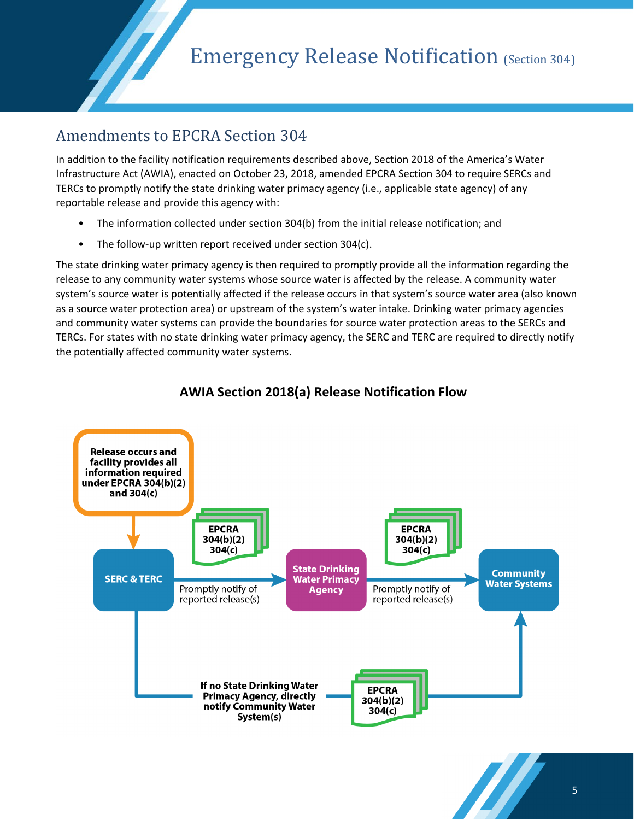#### Amendments to EPCRA Section 304

In addition to the facility notification requirements described above, Section 2018 of the America's Water Infrastructure Act (AWIA), enacted on October 23, 2018, amended EPCRA Section 304 to require SERCs and TERCs to promptly notify the state drinking water primacy agency (i.e., applicable state agency) of any reportable release and provide this agency with:

- The information collected under section 304(b) from the initial release notification; and
- The follow-up written report received under section 304(c).

The state drinking water primacy agency is then required to promptly provide all the information regarding the release to any community water systems whose source water is affected by the release. A community water system's source water is potentially affected if the release occurs in that system's source water area (also known as a source water protection area) or upstream of the system's water intake. Drinking water primacy agencies and community water systems can provide the boundaries for source water protection areas to the SERCs and TERCs. For states with no state drinking water primacy agency, the SERC and TERC are required to directly notify the potentially affected community water systems.



#### **AWIA Section 2018(a) Release Notification Flow**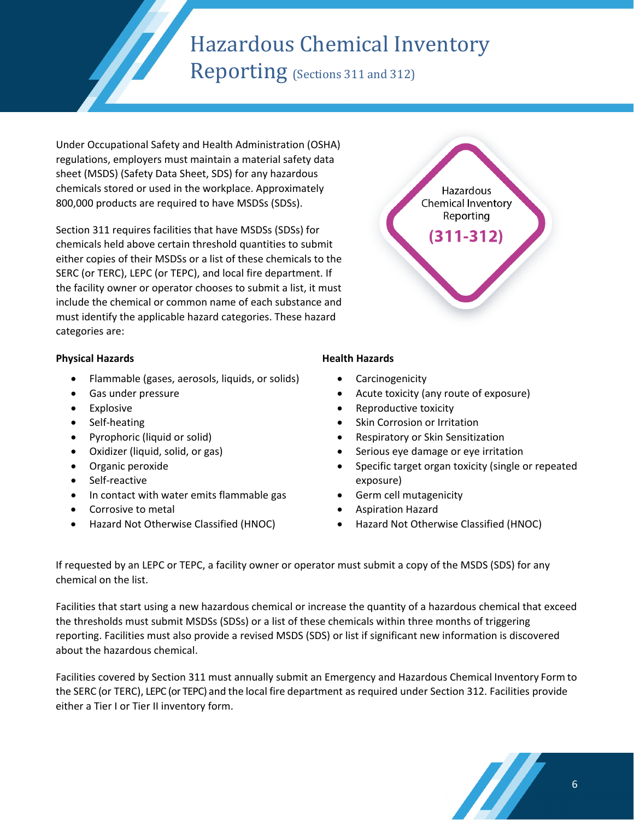# Hazardous Chemical Inventory

Reporting (Sections 311 and 312)

Under Occupational Safety and Health Administration (OSHA) regulations, employers must maintain a material safety data sheet (MSDS) (Safety Data Sheet, SDS) for any hazardous chemicals stored or used in the workplace. Approximately 800,000 products are required to have MSDSs (SDSs).

Section 311 requires facilities that have MSDSs (SDSs) for chemicals held above certain threshold quantities to submit either copies of their MSDSs or a list of these chemicals to the SERC (or TERC), LEPC (or TEPC), and local fire department. If the facility owner or operator chooses to submit a list, it must include the chemical or common name of each substance and must identify the applicable hazard categories. These hazard categories are:

#### **Physical Hazards**

- Flammable (gases, aerosols, liquids, or solids)
- Gas under pressure
- Explosive
- Self-heating
- Pyrophoric (liquid or solid)
- Oxidizer (liquid, solid, or gas)
- Organic peroxide
- Self-reactive
- In contact with water emits flammable gas
- Corrosive to metal
- Hazard Not Otherwise Classified (HNOC)



Hazardous

#### **Health Hazards**

- **Carcinogenicity**
- Acute toxicity (any route of exposure)
- Reproductive toxicity
- Skin Corrosion or Irritation
- Respiratory or Skin Sensitization
- Serious eye damage or eye irritation
- Specific target organ toxicity (single or repeated exposure)
- Germ cell mutagenicity
- Aspiration Hazard
- Hazard Not Otherwise Classified (HNOC)

If requested by an LEPC or TEPC, a facility owner or operator must submit a copy of the MSDS (SDS) for any chemical on the list.

Facilities that start using a new hazardous chemical or increase the quantity of a hazardous chemical that exceed the thresholds must submit MSDSs (SDSs) or a list of these chemicals within three months of triggering reporting. Facilities must also provide a revised MSDS (SDS) or list if significant new information is discovered about the hazardous chemical.

Facilities covered by Section 311 must annually submit an Emergency and Hazardous Chemical Inventory Form to the SERC (or TERC), LEPC (or TEPC) and the local fire department as required under Section 312. Facilities provide either a Tier I or Tier II inventory form.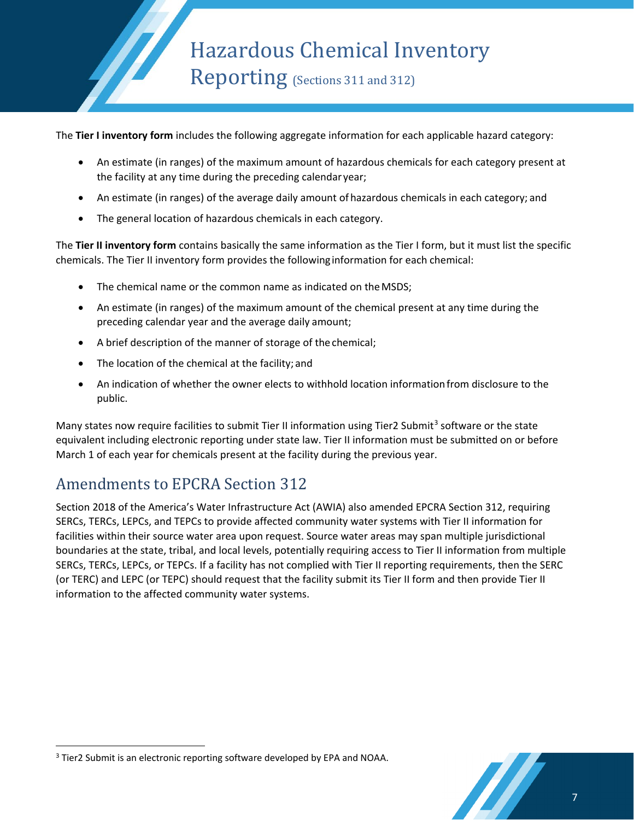Hazardous Chemical Inventory Reporting (Sections 311 and 312)

The **Tier I inventory form** includes the following aggregate information for each applicable hazard category:

- An estimate (in ranges) of the maximum amount of hazardous chemicals for each category present at the facility at any time during the preceding calendar year;
- An estimate (in ranges) of the average daily amount of hazardous chemicals in each category; and
- The general location of hazardous chemicals in each category.

The **Tier II inventory form** contains basically the same information as the Tier I form, but it must list the specific chemicals. The Tier II inventory form provides the followinginformation for each chemical:

- The chemical name or the common name as indicated on the MSDS;
- An estimate (in ranges) of the maximum amount of the chemical present at any time during the preceding calendar year and the average daily amount;
- A brief description of the manner of storage of the chemical;
- The location of the chemical at the facility; and
- An indication of whether the owner elects to withhold location informationfrom disclosure to the public.

Many states now require facilities to submit Tier II information using Tier2 Submit<sup>[3](#page-6-0)</sup> software or the state equivalent including electronic reporting under state law. Tier II information must be submitted on or before March 1 of each year for chemicals present at the facility during the previous year.

### Amendments to EPCRA Section 312

Section 2018 of the America's Water Infrastructure Act (AWIA) also amended EPCRA Section 312, requiring SERCs, TERCs, LEPCs, and TEPCs to provide affected community water systems with Tier II information for facilities within their source water area upon request. Source water areas may span multiple jurisdictional boundaries at the state, tribal, and local levels, potentially requiring access to Tier II information from multiple SERCs, TERCs, LEPCs, or TEPCs. If a facility has not complied with Tier II reporting requirements, then the SERC (or TERC) and LEPC (or TEPC) should request that the facility submit its Tier II form and then provide Tier II information to the affected community water systems.



<span id="page-6-0"></span><sup>&</sup>lt;sup>3</sup> Tier2 Submit is an electronic reporting software developed by EPA and NOAA.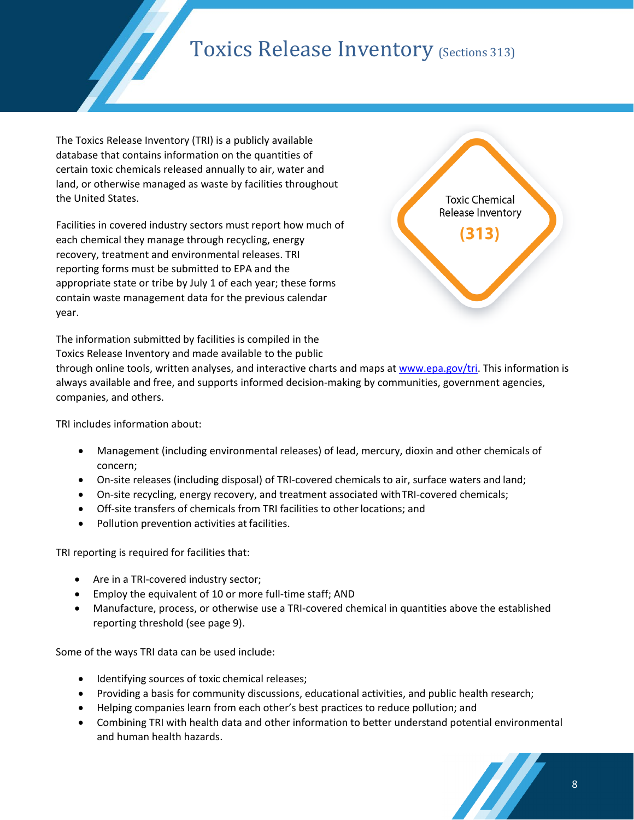# Toxics Release Inventory (Sections 313)

The Toxics Release Inventory (TRI) is a publicly available database that contains information on the quantities of certain toxic chemicals released annually to air, water and land, or otherwise managed as waste by facilities throughout the United States.

Facilities in covered industry sectors must report how much of each chemical they manage through recycling, energy recovery, treatment and environmental releases. TRI reporting forms must be submitted to EPA and the appropriate state or tribe by July 1 of each year; these forms contain waste management data for the previous calendar year.



The information submitted by facilities is compiled in the Toxics Release Inventory and made available to the public

through online tools, written analyses, and interactive charts and maps a[t www.epa.gov/tri.](http://www.epa.gov/tri) This information is always available and free, and supports informed decision-making by communities, government agencies, companies, and others.

TRI includes information about:

- Management (including environmental releases) of lead, mercury, dioxin and other chemicals of concern;
- On-site releases (including disposal) of TRI-covered chemicals to air, surface waters and land;
- On-site recycling, energy recovery, and treatment associated with TRI-covered chemicals;
- Off-site transfers of chemicals from TRI facilities to otherlocations; and
- Pollution prevention activities at facilities.

TRI reporting is required for facilities that:

- Are in a TRI-covered industry sector;
- Employ the equivalent of 10 or more full-time staff; AND
- Manufacture, process, or otherwise use a TRI-covered chemical in quantities above the established reporting threshold (see page 9).

Some of the ways TRI data can be used include:

- Identifying sources of toxic chemical releases;
- Providing a basis for community discussions, educational activities, and public health research;
- Helping companies learn from each other's best practices to reduce pollution; and
- Combining TRI with health data and other information to better understand potential environmental and human health hazards.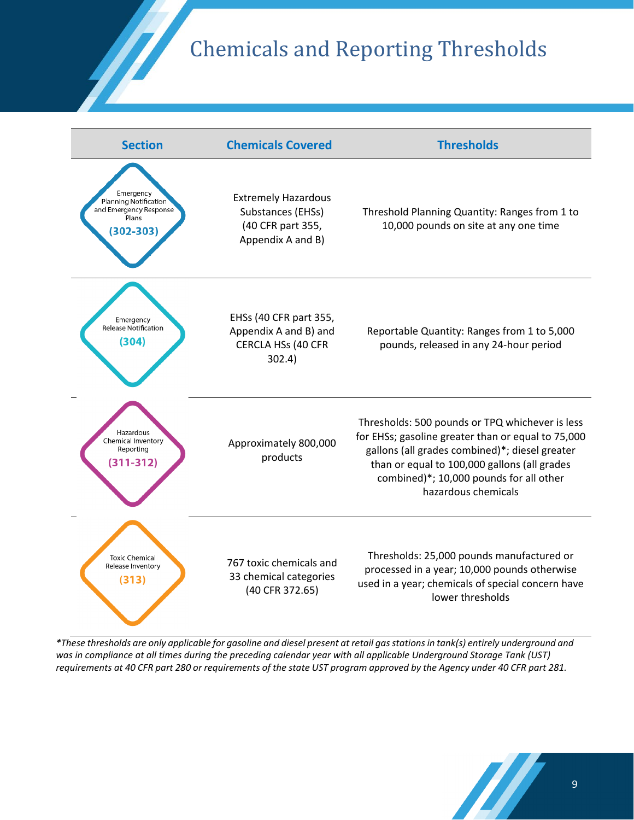# Chemicals and Reporting Thresholds



\*These thresholds are only applicable for gasoline and diesel present at retail gas stations in tank(s) entirely underground and *was in compliance at all times during the preceding calendar year with all applicable Underground Storage Tank (UST)*  requirements at 40 CFR part 280 or requirements of the state UST program approved by the Agency under 40 CFR part 281.

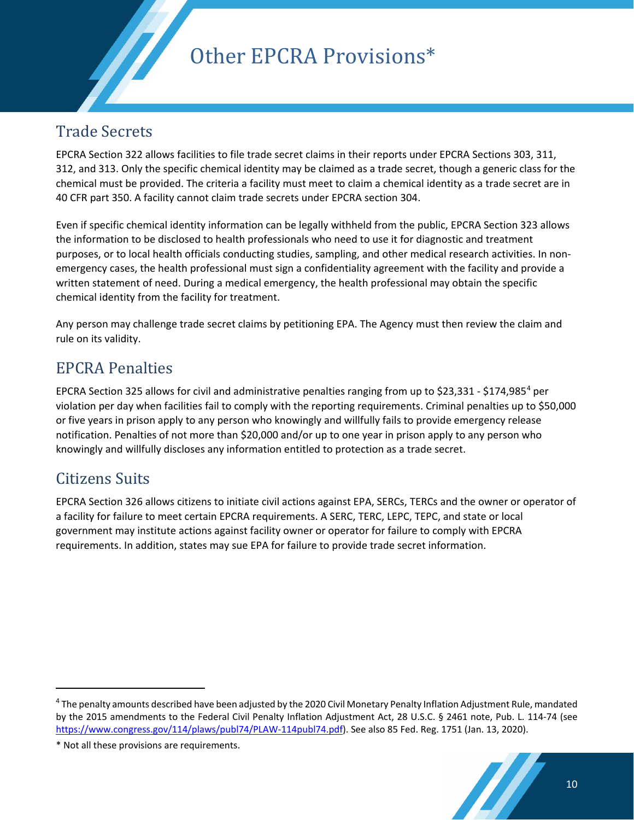Other EPCRA Provisions\*

#### Trade Secrets

EPCRA Section 322 allows facilities to file trade secret claims in their reports under EPCRA Sections 303, 311, 312, and 313. Only the specific chemical identity may be claimed as a trade secret, though a generic class for the chemical must be provided. The criteria a facility must meet to claim a chemical identity as a trade secret are in 40 CFR part 350. A facility cannot claim trade secrets under EPCRA section 304.

Even if specific chemical identity information can be legally withheld from the public, EPCRA Section 323 allows the information to be disclosed to health professionals who need to use it for diagnostic and treatment purposes, or to local health officials conducting studies, sampling, and other medical research activities. In nonemergency cases, the health professional must sign a confidentiality agreement with the facility and provide a written statement of need. During a medical emergency, the health professional may obtain the specific chemical identity from the facility for treatment.

Any person may challenge trade secret claims by petitioning EPA. The Agency must then review the claim and rule on its validity.

### EPCRA Penalties

EPCRA Section 325 allows for civil and administrative penalties ranging from up to \$23,331 - \$174,985[4](#page-9-0) per violation per day when facilities fail to comply with the reporting requirements. Criminal penalties up to \$50,000 or five years in prison apply to any person who knowingly and willfully fails to provide emergency release notification. Penalties of not more than \$20,000 and/or up to one year in prison apply to any person who knowingly and willfully discloses any information entitled to protection as a trade secret.

### Citizens Suits

EPCRA Section 326 allows citizens to initiate civil actions against EPA, SERCs, TERCs and the owner or operator of a facility for failure to meet certain EPCRA requirements. A SERC, TERC, LEPC, TEPC, and state or local government may institute actions against facility owner or operator for failure to comply with EPCRA requirements. In addition, states may sue EPA for failure to provide trade secret information.

<span id="page-9-0"></span><sup>&</sup>lt;sup>4</sup> The penalty amounts described have been adjusted by the 2020 Civil Monetary Penalty Inflation Adjustment Rule, mandated by the 2015 amendments to the Federal Civil Penalty Inflation Adjustment Act, 28 U.S.C. § 2461 note, Pub. L. 114-74 (see [https://www.congress.gov/114/plaws/publ74/PLAW-114publ74.pdf\)](https://www.congress.gov/114/plaws/publ74/PLAW-114publ74.pdf). See also 85 Fed. Reg. 1751 (Jan. 13, 2020).

<sup>\*</sup> Not all these provisions are requirements.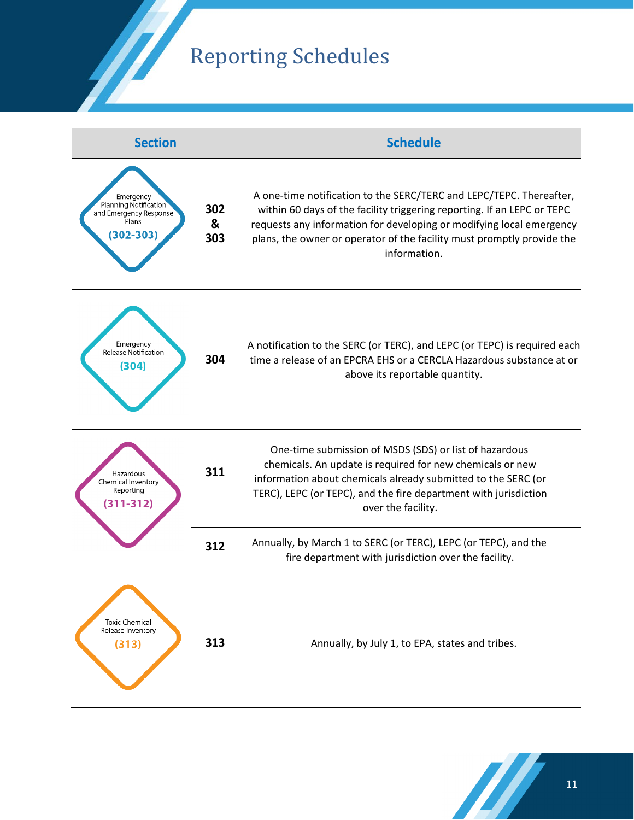### Reporting Schedules



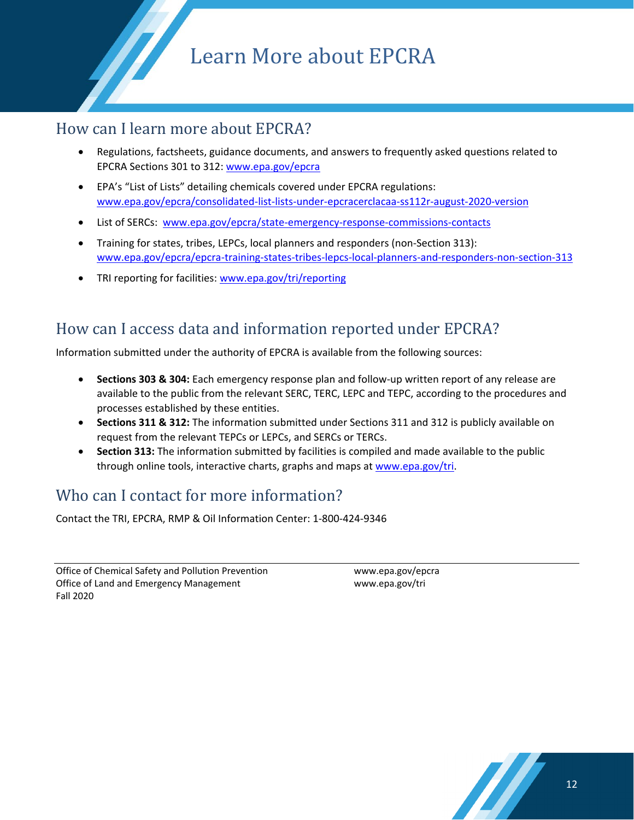# Learn More about EPCRA

#### How can I learn more about EPCRA?

- Regulations, factsheets, guidance documents, and answers to frequently asked questions related to EPCRA Sections 301 to 312: [www.epa.gov/epcra](https://www.epa.gov/epcra)
- EPA's "List of Lists" detailing chemicals covered under EPCRA regulations: [www.epa.gov/epcra/consolidated-list-lists-under-epcracerclacaa-ss112r-august-2020-version](https://www.epa.gov/epcra/consolidated-list-lists-under-epcracerclacaa-ss112r-august-2020-version)
- List of SERCs: [www.epa.gov/epcra/state-emergency-response-commissions-contacts](https://www.epa.gov/epcra/state-emergency-response-commissions-contacts)
- Training for states, tribes, LEPCs, local planners and responders (non-Section 313): [www.epa.gov/epcra/epcra-training-states-tribes-lepcs-local-planners-and-responders-non-section-313](https://www.epa.gov/epcra/epcra-training-states-tribes-lepcs-local-planners-and-responders-non-section-313)
- TRI reporting for facilities: www.epa.gov/tri/reporting

#### How can I access data and information reported under EPCRA?

Information submitted under the authority of EPCRA is available from the following sources:

- **Sections 303 & 304:** Each emergency response plan and follow-up written report of any release are available to the public from the relevant SERC, TERC, LEPC and TEPC, according to the procedures and processes established by these entities.
- **Sections 311 & 312:** The information submitted under Sections 311 and 312 is publicly available on request from the relevant TEPCs or LEPCs, and SERCs or TERCs.
- **Section 313:** The information submitted by facilities is compiled and made available to the public through online tools, interactive charts, graphs and maps at [www.epa.gov/tri.](http://www.epa.gov/tri)

### Who can I contact for more information?

Contact the TRI, EPCRA, RMP & Oil Information Center: 1-800-424-9346

Office of Chemical Safety and Pollution Prevention www.epa.gov/epcra Office of Land and Emergency Management www.epa.gov/tri Fall 2020